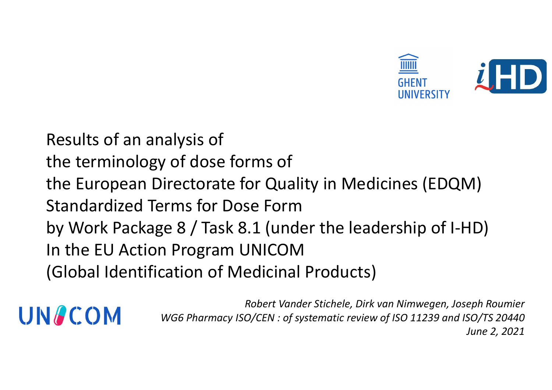

y of dose forms of<br>virectorate for Quality in Medicines (EDQM)<br>erms for Dose Form<br>ge 8 / Task 8.1 (under the leadership of I-HD)<br>n Program UNICOM<br>cation of Medicinal Products)<br>Robert Vander Stichele, Dirk van Nimwegen, Jos **J )**<br>H **D** )<br>eph Roumier<br>s0/TS 20440<br>June 2, 2021 Results of an analysis of<br>The terminology of dose forms of<br>The European Directorate for Quality in Me THERT TREAD TO SET THE SERVICE SITE OF SERVIT A RESULTS Of an analysis of<br>the terminology of dose forms of<br>the European Directorate for Quality in Medicines (EDQM)<br>Standardized Terms for Dose Form THE ENTIRE SERVICE SITE OF THE SERVICE OF THE ENTIRE SITE OF THE EUROPEAN DESCRIPTION OF THE EUROPEAN DESCRIPTION OF THE EUROPEAN DESCRIPTION OF THE UPS WORK Package 8 / Task 8.1 (under the leadership of I-HD) Standardized Transform Community Chernal Control Control Control<br>Standardized Terms for Ose Forms of<br>Standardized Terms for Dose Form<br>by Work Package 8 / Task 8.1 (under the leadership of I-HD<br>In the EU Action Program UNIC Besults of an analysis of<br>
the terminology of dose forms of<br>
the European Directorate for Quality in Medicines (EDQM)<br>
Standardized Terms for Dose Form<br>
by Work Package 8 / Task 8.1 (under the leadership of I-HD)<br>
In the E Results of an analysis of<br>the terminology of dose forms of<br>the European Directorate for Quality in M<br>Standardized Terms for Dose Form<br>by Work Package 8 / Task 8.1 (under the I<br>In the EU Action Program UNICOM<br>(Global Identi Results of an analysis of<br>
the terminology of dose forms of<br>
the European Directorate for Quality in Medicines (EDQM)<br>
Standardized Terms for Dose Form<br>
by Work Package 8 / Task 8.1 (under the leadership of I-HD)<br>
In the E

Robert Vander Stichele, Dirk van Nimwegen, Joseph Roumier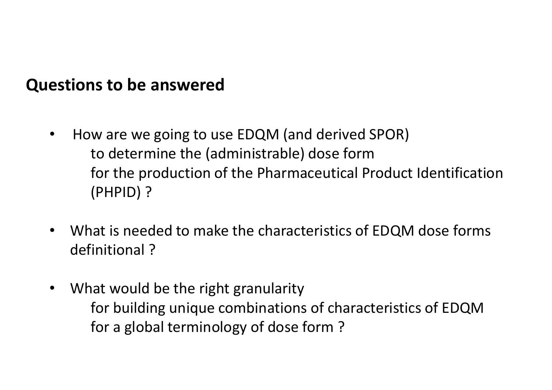- **estions to be answered<br>• How are we going to use EDQM (and derived SPOR)<br>• to determine the (administrable) dose form<br>• for the production of the Pharmaceutical Product Identification ns to be answered<br>w** are we going to use EDQM (and derived SPOR)<br>to determine the (administrable) dose form<br>for the production of the Pharmaceutical Product Identification<br>(PHPID) ? **is to be answered**<br>w are we going to use EDQM (and derived SPOR)<br>to determine the (administrable) dose form<br>for the production of the Pharmaceutical Product Identification<br>(PHPID) ? (PHPID) ? • How are we going to use EDQM (and derived SPOR)<br>• How are we going to use EDQM (and derived SPOR)<br>to determine the (administrable) dose form<br>for the production of the Pharmaceutical Product Identification<br>(PHPID) ?<br>• Wha How are we going to use EDQM (and derived<br>to determine the (administrable) dose for<br>for the production of the Pharmaceutical<br>(PHPID) ?<br>What is needed to make the characteristics of<br>definitional ?<br>What would be the right gr • How are we going to use EDQM (and derived SPOR)<br>to determine the (administrable) dose form<br>for the production of the Pharmaceutical Product<br>(PHPID) ?<br>• What is needed to make the characteristics of EDQM<br>definitional ?<br>• to determine the (administrable) dose form<br>for the production of the Pharmaceutical Product Identification<br>(PHPID) ?<br>aat is needed to make the characteristics of EDQM dose forms<br>initional ?<br>at would be the right granularit Questions to be answered<br>• How are we going to use FDOM (and derived
	-
	- for the production of the Pharmaceutical Product Identification<br>(PHPID) ?<br>at is needed to make the characteristics of EDQM dose forms<br>initional ?<br>at would be the right granularity<br>for building unique combinations of charac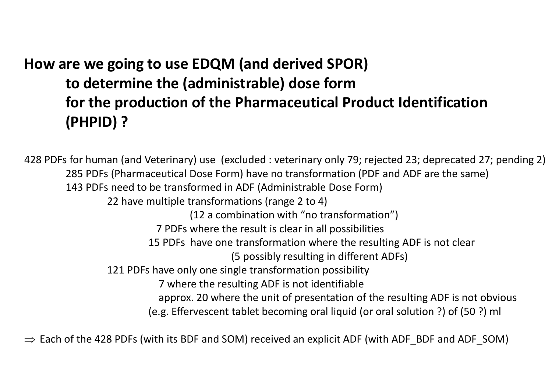# How are we going to use EDQM (and derived SPOR)<br>to determine the (administrable) dose form<br>for the production of the Pharmaceutical Product Identification re we going to use EDQM (and derived SPOR)<br>to determine the (administrable) dose form<br>for the production of the Pharmaceutical Product Identification<br>(PHPID) ? re we going to use EDQM (and derived SPOR)<br>to determine the (administrable) dose form<br>for the production of the Pharmaceutical Product Identification<br>(PHPID) ? (PHPID) ?

428 PDFs for human (and Veterinary) use (excluded : veterinary only 79; rejected 23; deprecated 27; pending 2) 285 PDFs (Pharmaceutical Dose Form) have no transformation (PDF and ADF are the same) 143 PDFs need to be transformed in ADF (Administrable Dose Form) 22 have multiple transformations (range 2 to 4) (12 a combination with "no transformation") 7 PDFs where the result is clear in all possibilities 15 PDFs have one transformation where the resulting ADF is not clear (5 possibly resulting in different ADFs) 121 PDFs have only one single transformation possibility 7 where the resulting ADF is not identifiable approx. 20 where the unit of presentation of the resulting ADF is not obvious (e.g. Effervescent tablet becoming oral liquid (or oral solution ?) of (50 ?) ml

 $\Rightarrow$  Each of the 428 PDFs (with its BDF and SOM) received an explicit ADF (with ADF\_BDF and ADF\_SOM)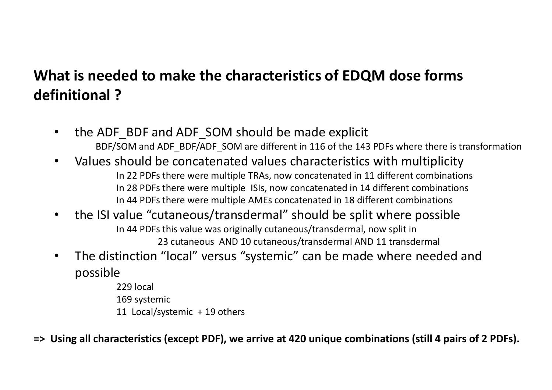# What is needed to make the characteristics of EDQM dose forms<br>definitional ? What is needed to make the characteristics of<br>definitional ?<br>• the ADF\_BDF and ADF\_SOM should be made **and is needed to make the characteristics of EDQM dose forms**<br> **initional ?**<br>
• the ADF\_BDF and ADF\_SOM should be made explicit<br>
• BDF/SOM and ADF\_BDF/ADF\_SOM are different in 116 of the 143 PDFs where there is transforma

- 
- **eeded to make the characteristics of EDQM dose forms**<br> **ADF\_BDF** and ADF\_SOM should be made explicit<br>
BDF/SOM and ADF\_BDF/ADF\_SOM are different in 116 of the 143 PDFs where there is transformation<br>
les Should be concatena **at is needed to make the characteristics of EDQM dose forms**<br> **initional ?**<br>
• the ADF\_BDF and ADF\_SOM should be made explicit<br>
• BDF/SOM and ADF\_BDF/ADF\_SOM are different in 116 of the 143 PDFs where there is transforma In 22 PDFs there were multiple TRAs, now concatenated in 11 different combinations In 28 PDFs there were multiple ISIs, now concatenated in 14 different combinations In 44 PDFs there were multiple AMEs concatenated in 18 different combinations **and is needed to make the characteristics of EDQM dose forms**<br> **initional ?**<br>
• the ADF\_BDF and ADF\_SOM should be made explicit<br>
• BDF/SOM and ADF\_BDF/ADF\_SOM are different in 116 of the 143 PDFs where there is transforma • The distinction and ADF\_SOM should be made explicit<br>
• BDF/SOM and ADF\_BDF/ADF\_SOM are different in 116 of the 143 PDFs where there is transformation<br>
• Values should be concatenated values characteristics with multiplic
- In 44 PDFs this value was originally cutaneous/transdermal, now split in 23 cutaneous AND 10 cutaneous/transdermal AND 11 transdermal
- possible
	- 229 local 169 systemic 11 Local/systemic + 19 others
- => Using all characteristics (except PDF), we arrive at 420 unique combinations (still 4 pairs of 2 PDFs).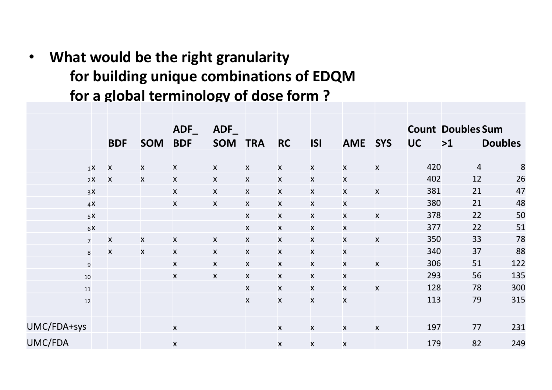• What would be the right granularity<br>for building unique combinations of EDQM<br>for a global terminology of dose form ? For build be the right granularity<br>for building unique combinations of EDQM<br>for a global terminology of dose form ? for a global terminology of dose form ?

|             |                |                           |                           |                | What would be the right granularity      |                    |                |                           |                           |                           |           |                          |                                    |
|-------------|----------------|---------------------------|---------------------------|----------------|------------------------------------------|--------------------|----------------|---------------------------|---------------------------|---------------------------|-----------|--------------------------|------------------------------------|
|             |                |                           |                           |                | for building unique combinations of EDQM |                    |                |                           |                           |                           |           |                          |                                    |
|             |                |                           |                           |                | for a global terminology of dose form?   |                    |                |                           |                           |                           |           |                          |                                    |
|             |                |                           |                           |                |                                          |                    |                |                           |                           |                           |           |                          |                                    |
|             |                |                           |                           |                |                                          |                    |                |                           |                           |                           |           |                          |                                    |
|             |                |                           |                           | $ADF_$         | $ADF_$                                   |                    |                |                           |                           |                           |           | <b>Count Doubles Sum</b> |                                    |
|             |                | <b>BDF</b>                | <b>SOM</b>                | <b>BDF</b>     | <b>SOM</b>                               | <b>TRA</b>         | <b>RC</b>      | <b>ISI</b>                | <b>AME</b>                | <b>SYS</b>                | <b>UC</b> | >1                       | <b>Doubles</b>                     |
|             | 1 <sup>X</sup> | $\mathsf{X}$              | $\mathsf{X}$              | X              | X                                        | X                  | <b>X</b>       | $\boldsymbol{\mathsf{x}}$ | $\mathsf{x}$              | $\boldsymbol{\mathsf{x}}$ | 420       |                          | $\overline{a}$<br>$\boldsymbol{8}$ |
|             | 2X             | $\boldsymbol{\mathsf{X}}$ | $\boldsymbol{\mathsf{X}}$ | $\mathsf{X}^-$ | $\mathsf{X}^-$                           | $\mathsf{x}$       | $\mathsf{x}$   | $\mathsf{X}$              | $\boldsymbol{\mathsf{X}}$ |                           | 402       | 12                       | <b>26</b>                          |
|             | 3X             |                           |                           | $\mathsf{X}^-$ | $\mathsf{X}^-$                           | $\mathsf{x}$       | $\mathsf{X}^-$ | $\boldsymbol{\mathsf{X}}$ | $\mathsf{x}$              | $\pmb{\times}$            | 381       | 21                       | 47                                 |
|             | 4X             |                           |                           | $\mathsf{X}^-$ | $\mathsf{X}^-$                           | $\mathsf{x}$       | $\mathsf{X}^-$ | $\mathsf{X}$              | $\mathsf{x}$              |                           | 380       | 21                       | 48                                 |
|             | 5X             |                           |                           |                |                                          | X                  | $\mathsf{X}^-$ | $\boldsymbol{\mathsf{X}}$ | $\mathsf{x}$              | $\pmb{\times}$            | 378       | 22                       | 50                                 |
|             | 6X             |                           |                           |                |                                          | $\mathsf{x}$       | $\mathsf{X}$   | $\mathsf{x}$              | $\mathsf{X}$              |                           | 377       | 22                       | 51                                 |
|             | $7^{\circ}$    | $\pmb{\times}$            | $\mathsf{x}$              | $\mathsf{X}$   | $\mathsf{X}$                             | $\mathsf{x}$       | $\mathsf{X}^-$ | $\mathsf{X}$              | $\mathsf{X}$              | $\mathsf{x}$              | 350       | 33                       | 78                                 |
|             | 8              | X                         | $\boldsymbol{\mathsf{X}}$ | X              | X                                        | $\mathsf{X}$       | X              | $\mathsf{X}$              | $\mathsf{x}$              |                           | 340       | 37                       | 88                                 |
|             | 9              |                           |                           | X              | X                                        | $\pmb{\mathsf{X}}$ | X              | $\pmb{\mathsf{X}}$        | $\boldsymbol{\mathsf{x}}$ | $\pmb{\times}$            | 306       | 51                       | 122                                |
|             | 10             |                           |                           | X.             | X                                        | X                  | X              | X                         | X                         |                           | 293       | 56                       | 135                                |
|             | $11\,$         |                           |                           |                |                                          | $\mathsf{x}$       | $\mathsf{X}^-$ | $\mathsf{x}$              | $\mathsf{X}$              | $\mathsf{X}$              | 128       | 78                       | 300                                |
|             | $12$           |                           |                           |                |                                          | $\mathsf{x}$       | $\mathsf{X}^-$ | $\mathsf{x}$              | $\mathsf{X}$              |                           | 113       | 79                       | 315                                |
|             |                |                           |                           |                |                                          |                    |                |                           |                           |                           |           |                          |                                    |
| UMC/FDA+sys |                |                           |                           | $\mathsf{x}$   |                                          |                    | $\mathsf{X}$   | $\mathsf{x}$              | $\mathsf{x}$              | $\pmb{\mathsf{X}}$        | 197       | 77                       | 231                                |
| UMC/FDA     |                |                           |                           | $\mathsf{X}^-$ |                                          |                    | $\mathsf{x}$   | $\mathsf{x}$              | $\mathsf{x}$              |                           | 179       | 82                       | 249                                |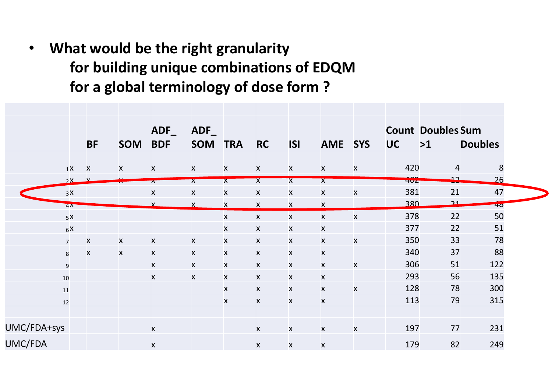• What would be the right granularity nat would be the right granularity<br>for building unique combinations of EDQM<br>for a global terminology of dose form ? Note that would be the right granularity<br>for building unique combinations of EDQM<br>for a global terminology of dose form ?<br>ADF\_ADF\_ADF\_Count Doubles Sum

|             |                |                           |              |                         | for a global terminology of dose form? |                           |                                                 |                                           | for building unique combinations of EDQM |                |            |                                |                 |
|-------------|----------------|---------------------------|--------------|-------------------------|----------------------------------------|---------------------------|-------------------------------------------------|-------------------------------------------|------------------------------------------|----------------|------------|--------------------------------|-----------------|
|             |                | <b>BF</b>                 | <b>SOM</b>   | $ADF_$<br><b>BDF</b>    | ADF<br><b>SOM</b>                      | <b>TRA</b>                | <b>RC</b>                                       | <b>ISI</b>                                | <b>AME</b>                               | <b>SYS</b>     | <b>UC</b>  | <b>Count Doubles Sum</b><br>>1 | <b>Doubles</b>  |
|             |                |                           |              |                         |                                        |                           |                                                 |                                           |                                          |                |            |                                |                 |
|             | $1X$ X         |                           | X            | $\mathsf{x}$            | $\mathsf{x}$                           | X                         | $\boldsymbol{X}$                                | X                                         | $\mathsf{X}$                             | X              | 420        |                                | $\overline{4}$  |
|             | 2X             |                           |              | $\overline{\mathbf{r}}$ | $\mathbf{x}$                           | $\mathsf{X}$              | $\mathsf{X}$                                    | $\overline{\mathsf{X}}$                   | $\mathsf{X}$                             |                | <b>404</b> | <u>د،</u>                      | 26              |
|             | 3X             |                           |              | $\pmb{\mathsf{X}}$      | X                                      | $\boldsymbol{\mathsf{X}}$ | $\pmb{\times}$                                  | $\boldsymbol{\mathsf{x}}$                 | $\boldsymbol{\mathsf{x}}$                | X              | 381        | 21                             | 47              |
|             | 4 <sup>K</sup> |                           |              |                         |                                        | X                         | X                                               | X                                         | X                                        |                | 380<br>378 | <u>ຼາາ</u><br>22               | 40 <sub>o</sub> |
|             | 5X<br>6X       |                           |              |                         |                                        | $\mathsf{X}$<br>X         | $\pmb{\mathsf{X}}$<br>$\boldsymbol{\mathsf{x}}$ | $\boldsymbol{\mathsf{X}}$<br>$\mathsf{x}$ | $\pmb{\mathsf{X}}$<br>X                  | $\mathsf{x}$   | 377        | 22                             | 50<br>51        |
|             | $\overline{7}$ | $\boldsymbol{\mathsf{x}}$ | $\mathsf{x}$ | $\mathsf{x}$            | $\mathsf{x}$                           | $\mathsf{x}$              | $\pmb{\times}$                                  | $\mathsf{x}$                              | $\mathsf{x}$                             | $\mathsf{x}$   | 350        | 33                             | 78              |
|             | 8              | $\boldsymbol{\mathsf{x}}$ | X            | $\mathsf{X}$            | X                                      | X                         | $\pmb{\times}$                                  | X                                         | $\mathsf{x}$                             |                | 340        | 37                             | 88              |
|             | 9              |                           |              | X                       | X                                      | $\boldsymbol{\mathsf{X}}$ | $\pmb{\mathsf{X}}$                              | $\pmb{\times}$                            | $\pmb{\times}$                           | X              | 306        | 51                             | 122             |
|             | $10\,$         |                           |              | X                       | X                                      | X                         | X                                               | X                                         | X                                        |                | 293        | 56                             | 135             |
|             | $11\,$         |                           |              |                         |                                        | $\mathsf{X}$              | $\pmb{\mathsf{X}}$                              | $\mathsf{X}^-$                            | $\mathsf{x}$                             | $\mathsf{X}^-$ | 128        | 78                             | 300             |
|             | $12$           |                           |              |                         |                                        | $\mathsf{X}$              | $\pmb{\mathsf{X}}$                              | $\mathsf{X}^-$                            | $\mathsf{x}$                             |                | 113        | 79                             | 315             |
|             |                |                           |              |                         |                                        |                           |                                                 |                                           |                                          |                |            |                                |                 |
| UMC/FDA+sys |                |                           |              | $\mathsf{x}$            |                                        |                           | $\mathsf{X}^-$                                  | $\mathsf{x}$                              | $\mathsf{x}$                             | $\mathsf{X}$   | 197        | 77                             | 231             |
| UMC/FDA     |                |                           |              | $\pmb{\times}$          |                                        |                           | $\mathsf{x}$                                    | $\mathsf{x}$                              | $\mathsf{x}$                             |                | 179        | 82                             | 249             |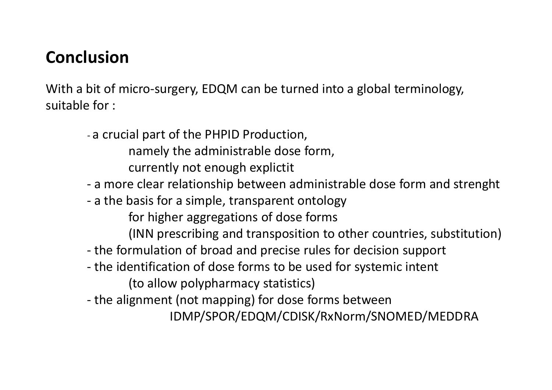# Conclusion

**Conclusion**<br>With a bit of micro-surgery, EDQM can be turned into a global terminology,<br>suitable for :<br>- a crucial part of the PHPID Production,

- **Conclusion**<br>With a bit of micro-surgery, EDQM can be turned into a global term<br>suitable for :<br>- a crucial part of the PHPID Production,<br>namely the administrable dose form,<br>currently not enough explictit<br>- a more clear rel icro-surgery, EDQM can be turned into a global terminology,<br>al part of the PHPID Production,<br>namely the administrable dose form,<br>currently not enough explictit<br>e clear relationship between administrable dose form and stren icro-surgery, EDQM can be turned into a global terminology,<br>al part of the PHPID Production,<br>namely the administrable dose form,<br>currently not enough explictit<br>e clear relationship between administrable dose form and st<br>pa **usion**<br>bit of micro-surgery, EDQM can be turned into a global terminology,<br>for :<br>- a crucial part of the PHPID Production,<br>namely the administrable dose form,<br>currently not enough explicit<br>- a more clear relationship betw **usion**<br>
bit of micro-surgery, EDQM can be turned into a global terminology,<br>
for :<br>
- a crucial part of the PHPID Production,<br>
namely the administrable dose form,<br>
currently not enough explicitit<br>
- a more clear relations icro-surgery, EDQM can be turned into a global terminology,<br>al part of the PHPID Production,<br>namely the administrable dose form,<br>currently not enough explictit<br>e clear relationship between administrable dose form and stren icro-surgery, EDQM can be turned into a global terminology,<br>al part of the PHPID Production,<br>namely the administrable dose form,<br>currently not enough explictit<br>e clear relationship between administrable dose form and stren of the formulation of broad and precise formulations of the and provided and production of the precise rules of the formulation of the precise rules of the basis for a simple, transparent ontology for higher aggregations o For :<br>
- a crucial part of the PHPID Production,<br>
namely the administrable dose form,<br>
currently not enough explicitit<br>
- a more clear relationship between administrable dose form and strenght<br>
- a the basis for a simple, al part of the PHPID Production,<br>
namely the administrable dose form,<br>
currently not enough explictit<br>
e clear relationship between administrable dose form and stren<br>
pasis for a simple, transparent ontology<br>
for higher ag - the alternative mannely the administrable dose form,<br>
- currently not enough explicitit<br>
- a more clear relationship between administrable dose form and strenght<br>
- a the basis for a simple, transparent ontology<br>
- for h
	-
	- -
		-
	-
	-

IDMP/SPOR/EDQM/CDISK/RxNorm/SNOMED/MEDDRA